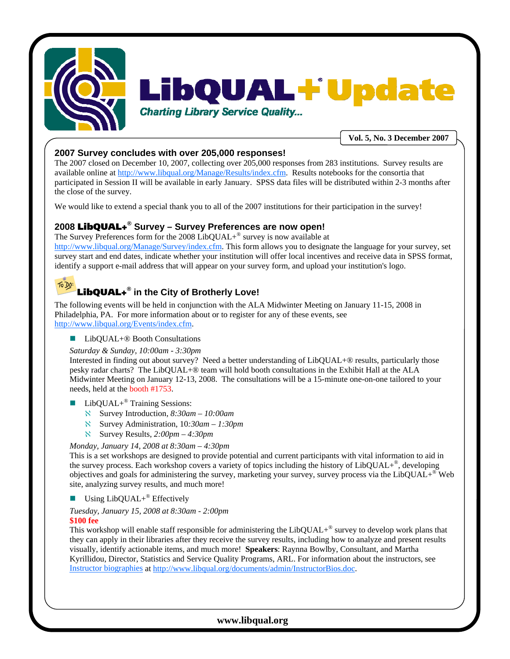



**Vol. 5, No. 3 December 2007** 

## **2007 Survey concludes with over 205,000 responses!**

The 2007 closed on December 10, 2007, collecting over 205,000 responses from 283 institutions. Survey results are available online at http://www.libqual.org/Manage/Results/index.cfm. Results notebooks for the consortia that participated in Session II will be available in early January. SPSS data files will be distributed within 2-3 months after the close of the survey.

We would like to extend a special thank you to all of the 2007 institutions for their participation in the survey!

## **2008** LibQUAL+**® Survey – Survey Preferences are now open!**

The Survey Preferences form for the 2008 LibQUAL+<sup>®</sup> survey is now available at http://www.libqual.org/Manage/Survey/index.cfm. This form allows you to designate the language for your survey, set survey start and end dates, indicate whether your institution will offer local incentives and receive data in SPSS format, identify a support e-mail address that will appear on your survey form, and upload your institution's logo.

#### To Do LibQUAL+**® in the City of Brotherly Love!**

The following events will be held in conjunction with the ALA Midwinter Meeting on January 11-15, 2008 in Philadelphia, PA. For more information about or to register for any of these events, see http://www.libqual.org/Events/index.cfm.

■ LibQUAL+<sup>®</sup> Booth Consultations

## *Saturday & Sunday, 10:00am - 3:30pm*

Interested in finding out about survey? Need a better understanding of LibQUAL+® results, particularly those pesky radar charts? The LibQUAL+® team will hold booth consultations in the Exhibit Hall at the ALA Midwinter Meeting on January 12-13, 2008. The consultations will be a 15-minute one-on-one tailored to your needs, held at the booth #1753.

LibQUAL+® Training Sessions:

- ℵ Survey Introduction, *8:30am 10:00am*
- ℵ Survey Administration, 10*:30am 1:30pm*
- ℵ Survey Results, *2:00pm 4:30pm*

#### *Monday, January 14, 2008 at 8:30am – 4:30pm*

This is a set workshops are designed to provide potential and current participants with vital information to aid in the survey process. Each workshop covers a variety of topics including the history of LibQUAL+®, developing objectives and goals for administering the survey, marketing your survey, survey process via the LibQUAL+® Web site, analyzing survey results, and much more!

Using  $LibQUAL+^{\circledR}$  Effectively

*Tuesday, January 15, 2008 at 8:30am - 2:00pm*

**\$100 fee**

This workshop will enable staff responsible for administering the  $LibQUAL+^{\circledR}$  survey to develop work plans that they can apply in their libraries after they receive the survey results, including how to analyze and present results visually, identify actionable items, and much more! **Speakers**: Raynna Bowlby, Consultant, and Martha Kyrillidou, Director, Statistics and Service Quality Programs, ARL. For information about the instructors, see Instructor biographies at http://www.libqual.org/documents/admin/InstructorBios.doc.

## **www.libqual.org**